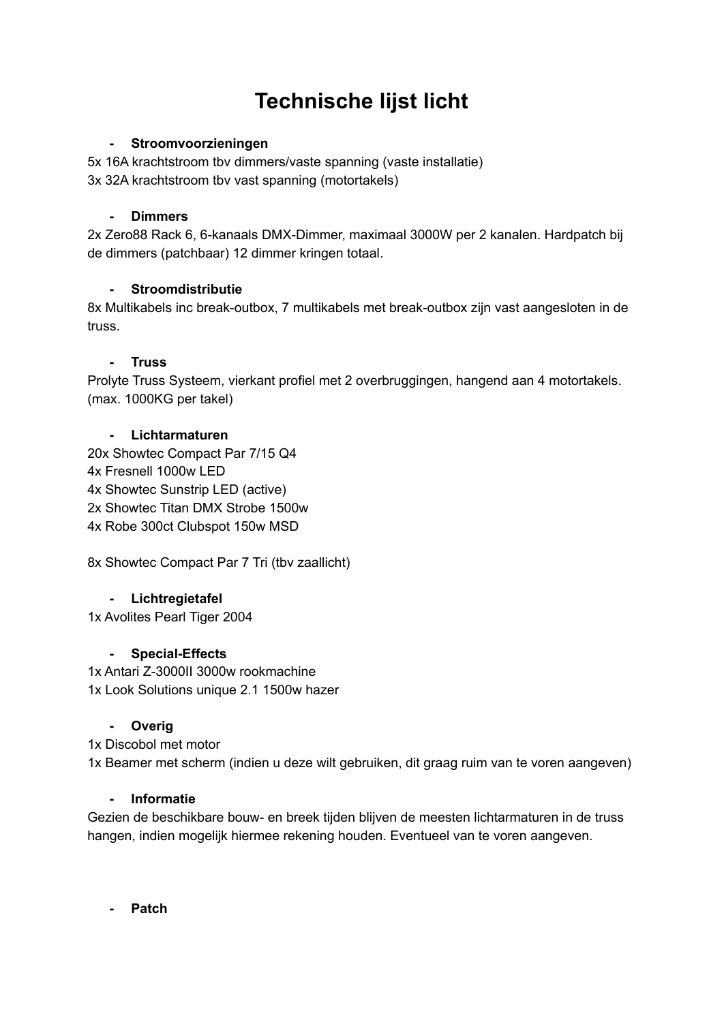# **Technische lijst licht**

### **- Stroomvoorzieningen**

5x 16A krachtstroom tbv dimmers/vaste spanning (vaste installatie) 3x 32A krachtstroom tbv vast spanning (motortakels)

#### **- Dimmers**

2x Zero88 Rack 6, 6-kanaals DMX-Dimmer, maximaal 3000W per 2 kanalen. Hardpatch bij de dimmers (patchbaar) 12 dimmer kringen totaal.

## **- Stroomdistributie**

8x Multikabels inc break-outbox, 7 multikabels met break-outbox zijn vast aangesloten in de truss.

#### **- Truss**

Prolyte Truss Systeem, vierkant profiel met 2 overbruggingen, hangend aan 4 motortakels. (max. 1000KG per takel)

#### **- Lichtarmaturen**

20x Showtec Compact Par 7/15 Q4 4x Fresnell 1000w LED 4x Showtec Sunstrip LED (active) 2x Showtec Titan DMX Strobe 1500w 4x Robe 300ct Clubspot 150w MSD

8x Showtec Compact Par 7 Tri (tbv zaallicht)

## **- Lichtregietafel**

1x Avolites Pearl Tiger 2004

## **- Special-Effects**

1x Antari Z-3000II 3000w rookmachine 1x Look Solutions unique 2.1 1500w hazer

## **- Overig**

1x Discobol met motor 1x Beamer met scherm (indien u deze wilt gebruiken, dit graag ruim van te voren aangeven)

#### **- Informatie**

Gezien de beschikbare bouw- en breek tijden blijven de meesten lichtarmaturen in de truss hangen, indien mogelijk hiermee rekening houden. Eventueel van te voren aangeven.

**- Patch**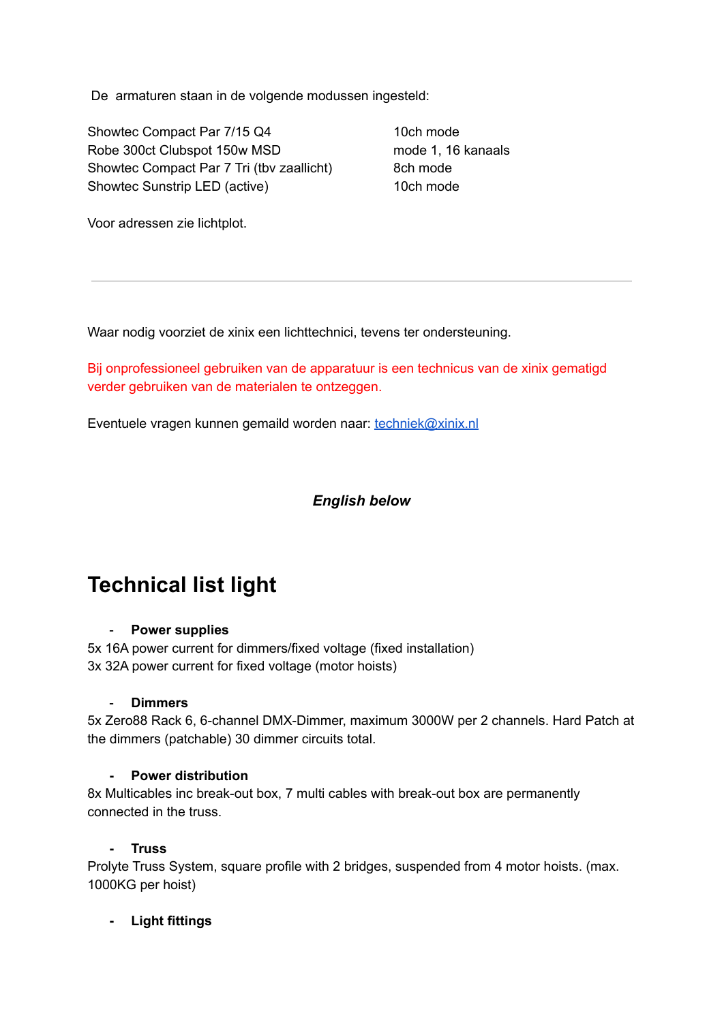De armaturen staan in de volgende modussen ingesteld:

Showtec Compact Par 7/15 Q4 10ch mode Robe 300ct Clubspot 150w MSD mode 1, 16 kanaals Showtec Compact Par 7 Tri (tby zaallicht) 8ch mode Showtec Sunstrip LED (active) 10ch mode

Voor adressen zie lichtplot.

Waar nodig voorziet de xinix een lichttechnici, tevens ter ondersteuning.

Bij onprofessioneel gebruiken van de apparatuur is een technicus van de xinix gematigd verder gebruiken van de materialen te ontzeggen.

Eventuele vragen kunnen gemaild worden naar: [techniek@xinix.nl](mailto:techniek@xinix.nl)

## *English below*

## **Technical list light**

#### - **Power supplies**

5x 16A power current for dimmers/fixed voltage (fixed installation) 3x 32A power current for fixed voltage (motor hoists)

#### - **Dimmers**

5x Zero88 Rack 6, 6-channel DMX-Dimmer, maximum 3000W per 2 channels. Hard Patch at the dimmers (patchable) 30 dimmer circuits total.

#### **- Power distribution**

8x Multicables inc break-out box, 7 multi cables with break-out box are permanently connected in the truss.

## **- Truss**

Prolyte Truss System, square profile with 2 bridges, suspended from 4 motor hoists. (max. 1000KG per hoist)

## **- Light fittings**